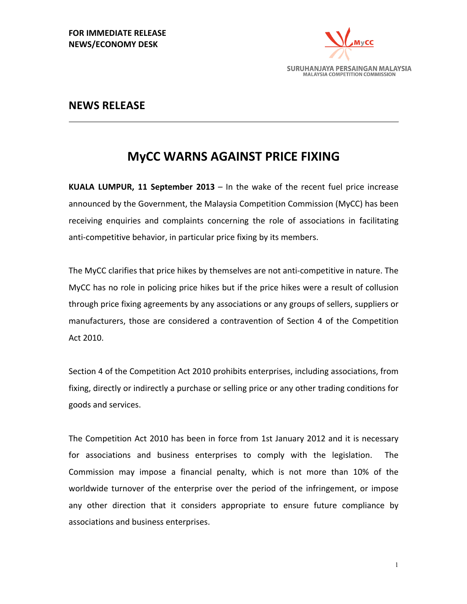

## **NEWS RELEASE**

## **MyCC WARNS AGAINST PRICE FIXING**

**KUALA LUMPUR, 11 September 2013** – In the wake of the recent fuel price increase announced by the Government, the Malaysia Competition Commission (MyCC) has been receiving enquiries and complaints concerning the role of associations in facilitating anti-competitive behavior, in particular price fixing by its members.

The MyCC clarifies that price hikes by themselves are not anti-competitive in nature. The MyCC has no role in policing price hikes but if the price hikes were a result of collusion through price fixing agreements by any associations or any groups of sellers, suppliers or manufacturers, those are considered a contravention of Section 4 of the Competition Act 2010.

Section 4 of the Competition Act 2010 prohibits enterprises, including associations, from fixing, directly or indirectly a purchase or selling price or any other trading conditions for goods and services.

The Competition Act 2010 has been in force from 1st January 2012 and it is necessary for associations and business enterprises to comply with the legislation. The Commission may impose a financial penalty, which is not more than 10% of the worldwide turnover of the enterprise over the period of the infringement, or impose any other direction that it considers appropriate to ensure future compliance by associations and business enterprises.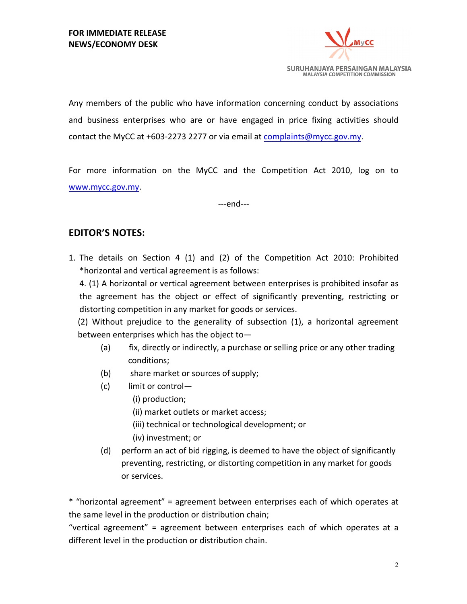

Any members of the public who have information concerning conduct by associations and business enterprises who are or have engaged in price fixing activities should contact the MyCC at  $+603-2273$  2277 or via email at complaints@mycc.gov.my.

For more information on the MyCC and the Competition Act 2010,  $log$  on to www.mycc.gov.my. 

---end---

## **EDITOR'S NOTES:**

1. The details on Section 4  $(1)$  and  $(2)$  of the Competition Act 2010: Prohibited \*horizontal and vertical agreement is as follows:

4. (1) A horizontal or vertical agreement between enterprises is prohibited insofar as the agreement has the object or effect of significantly preventing, restricting or distorting competition in any market for goods or services.

 $(2)$  Without prejudice to the generality of subsection  $(1)$ , a horizontal agreement between enterprises which has the object to-

- (a) fix, directly or indirectly, a purchase or selling price or any other trading conditions;
- (b) share market or sources of supply;
- $(c)$  limit or control-
	- (i) production;
	- (ii) market outlets or market access;
	- (iii) technical or technological development; or
	- (iv) investment; or
- (d) perform an act of bid rigging, is deemed to have the object of significantly preventing, restricting, or distorting competition in any market for goods or services.

\* "horizontal agreement" = agreement between enterprises each of which operates at the same level in the production or distribution chain;

"vertical agreement" = agreement between enterprises each of which operates at a different level in the production or distribution chain.